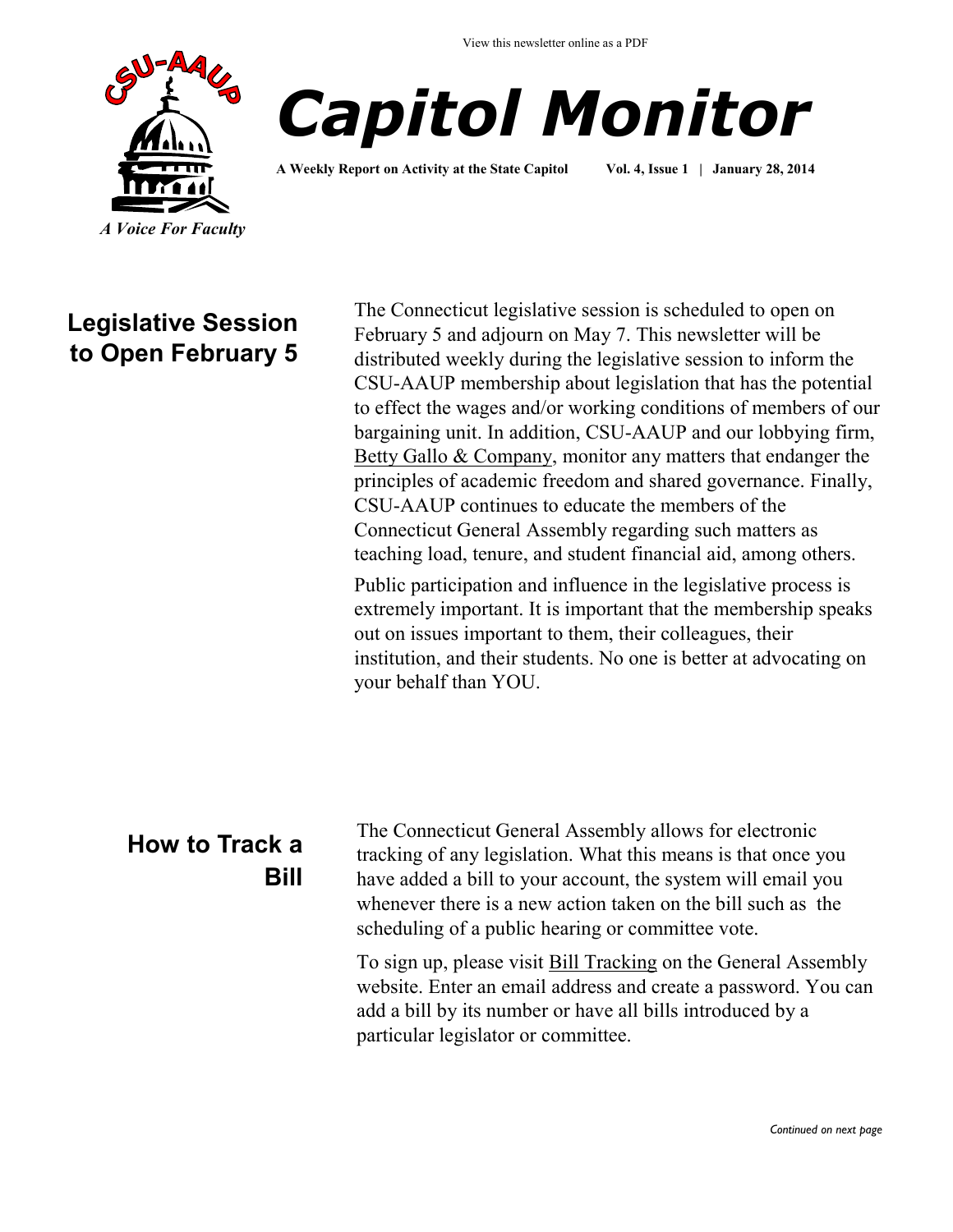



**A Weekly Report on Activity at the State Capitol Vol. 4, Issue 1 | January 28, 2014**

## **Legislative Session to Open February 5**

The Connecticut legislative session is scheduled to open on February 5 and adjourn on May 7. This newsletter will be distributed weekly during the legislative session to inform the CSU-AAUP membership about legislation that has the potential to effect the wages and/or working conditions of members of our bargaining unit. In addition, CSU-AAUP and our lobbying firm, [Betty Gallo & Company,](http://www.csuaaup.org/?page_id=115) monitor any matters that endanger the principles of academic freedom and shared governance. Finally, CSU-AAUP continues to educate the members of the Connecticut General Assembly regarding such matters as teaching load, tenure, and student financial aid, among others. Public participation and influence in the legislative process is

extremely important. It is important that the membership speaks out on issues important to them, their colleagues, their institution, and their students. No one is better at advocating on your behalf than YOU.

# **How to Track a Bill**

The Connecticut General Assembly allows for electronic tracking of any legislation. What this means is that once you have added a bill to your account, the system will email you whenever there is a new action taken on the bill such as the scheduling of a public hearing or committee vote.

To sign up, please visit [Bill Tracking](http://www.cga.ct.gov/aspx/CGAPublicBillTrack/Register.aspx) on the General Assembly website. Enter an email address and create a password. You can add a bill by its number or have all bills introduced by a particular legislator or committee.